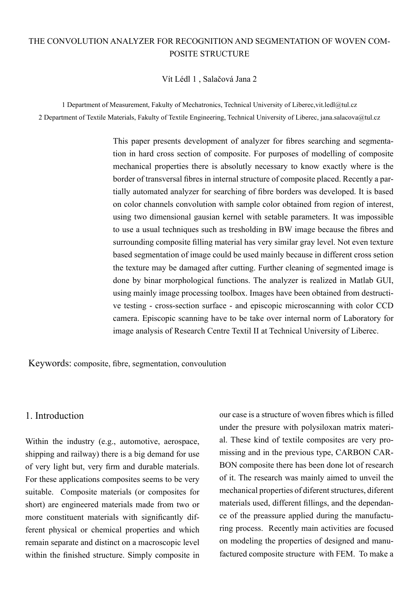# THE CONVOLUTION ANALYZER FOR RECOGNITION AND SEGMENTATION OF WOVEN COM-POSITE STRUCTURE

#### Vít Lédl 1 , Salačová Jana 2

1 Department of Measurement, Fakulty of Mechatronics, Technical University of Liberec,vit.ledl@tul.cz 2 Department of Textile Materials, Fakulty of Textile Engineering, Technical University of Liberec, jana.salacova@tul.cz

> This paper presents development of analyzer for fibres searching and segmentation in hard cross section of composite. For purposes of modelling of composite mechanical properties there is absolutly necessary to know exactly where is the border of transversal fibres in internal structure of composite placed. Recently a partially automated analyzer for searching of fibre borders was developed. It is based on color channels convolution with sample color obtained from region of interest, using two dimensional gausian kernel with setable parameters. It was impossible to use a usual techniques such as tresholding in BW image because the fibres and surrounding composite filling material has very similar gray level. Not even texture based segmentation of image could be used mainly because in different cross setion the texture may be damaged after cutting. Further cleaning of segmented image is done by binar morphological functions. The analyzer is realized in Matlab GUI, using mainly image processing toolbox. Images have been obtained from destructive testing - cross-section surface - and episcopic microscanning with color CCD camera. Episcopic scanning have to be take over internal norm of Laboratory for image analysis of Research Centre Textil II at Technical University of Liberec.

Keywords: composite, fibre, segmentation, convoulution

### 1. Introduction

Within the industry (e.g., automotive, aerospace, shipping and railway) there is a big demand for use of very light but, very firm and durable materials. For these applications composites seems to be very suitable. Composite materials (or composites for short) are engineered materials made from two or more constituent materials with significantly different physical or chemical properties and which remain separate and distinct on a macroscopic level within the finished structure. Simply composite in our case is a structure of woven fibres which is filled under the presure with polysiloxan matrix material. These kind of textile composites are very promissing and in the previous type, CARBON CAR-BON composite there has been done lot of research of it. The research was mainly aimed to unveil the mechanical properties of diferent structures, diferent materials used, different fillings, and the dependance of the preassure applied during the manufacturing process. Recently main activities are focused on modeling the properties of designed and manufactured composite structure with FEM. To make a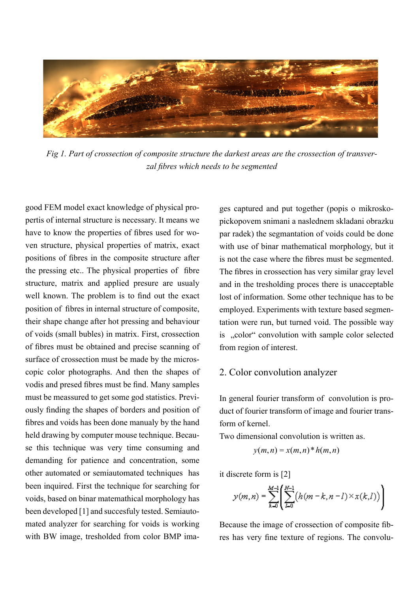

*Fig 1. Part of crossection of composite structure the darkest areas are the crossection of transverzal fibres which needs to be segmented* 

good FEM model exact knowledge of physical propertis of internal structure is necessary. It means we have to know the properties of fibres used for woven structure, physical properties of matrix, exact positions of fibres in the composite structure after the pressing etc.. The physical properties of fibre structure, matrix and applied presure are usualy well known. The problem is to find out the exact position of fibres in internal structure of composite, their shape change after hot pressing and behaviour of voids (small bubles) in matrix. First, crossection of fibres must be obtained and precise scanning of surface of crossection must be made by the microscopic color photographs. And then the shapes of vodis and presed fibres must be find. Many samples must be meassured to get some god statistics. Previously finding the shapes of borders and position of fibres and voids has been done manualy by the hand held drawing by computer mouse technique. Because this technique was very time consuming and demanding for patience and concentration, some other automated or semiautomated techniques has been inquired. First the technique for searching for voids, based on binar matemathical morphology has been developed [1] and succesfuly tested. Semiautomated analyzer for searching for voids is working with BW image, tresholded from color BMP images captured and put together (popis o mikroskopickopovem snimani a naslednem skladani obrazku par radek) the segmantation of voids could be done with use of binar mathematical morphology, but it is not the case where the fibres must be segmented. The fibres in crossection has very similar gray level and in the tresholding proces there is unacceptable lost of information. Some other technique has to be employed. Experiments with texture based segmentation were run, but turned void. The possible way is ...color" convolution with sample color selected from region of interest.

#### 2. Color convolution analyzer

In general fourier transform of convolution is product of fourier transform of image and fourier transform of kernel.

Two dimensional convolution is written as.

$$
y(m,n) = x(m,n)^* h(m,n)
$$

it discrete form is [2]

$$
y(m, n) = \sum_{k=0}^{M-1} \left( \sum_{l=0}^{M-1} (h(m-k, n-l) \times x(k, l)) \right)
$$

Because the image of crossection of composite fibres has very fine texture of regions. The convolu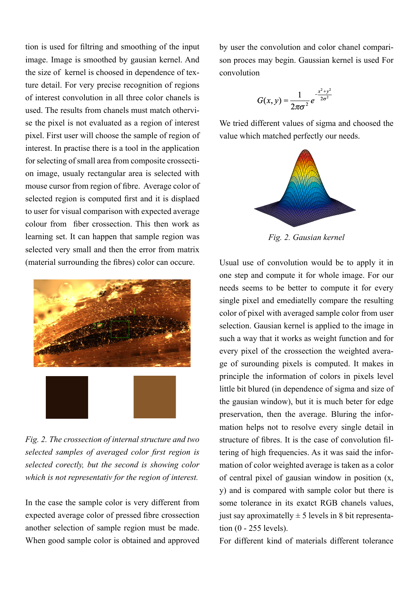tion is used for filtring and smoothing of the input image. Image is smoothed by gausian kernel. And the size of kernel is choosed in dependence of texture detail. For very precise recognition of regions of interest convolution in all three color chanels is used. The results from chanels must match othervise the pixel is not evaluated as a region of interest pixel. First user will choose the sample of region of interest. In practise there is a tool in the application for selecting of small area from composite crossection image, usualy rectangular area is selected with mouse cursor from region of fibre. Average color of selected region is computed first and it is displaed to user for visual comparison with expected average colour from fiber crossection. This then work as learning set. It can happen that sample region was selected very small and then the error from matrix (material surrounding the fibres) color can occure.



*Fig. 2. The crossection of internal structure and two selected samples of averaged color first region is selected corectly, but the second is showing color which is not representativ for the region of interest.*

In the case the sample color is very different from expected average color of pressed fibre crossection another selection of sample region must be made. When good sample color is obtained and approved by user the convolution and color chanel comparison proces may begin. Gaussian kernel is used For convolution

$$
G(x, y) = \frac{1}{2\pi\sigma^2} e^{-\frac{x^2 + y^2}{2\sigma^2}}
$$

We tried different values of sigma and choosed the value which matched perfectly our needs.



*Fig. 2. Gausian kernel*

Usual use of convolution would be to apply it in one step and compute it for whole image. For our needs seems to be better to compute it for every single pixel and emediatelly compare the resulting color of pixel with averaged sample color from user selection. Gausian kernel is applied to the image in such a way that it works as weight function and for every pixel of the crossection the weighted average of surounding pixels is computed. It makes in principle the information of colors in pixels level little bit blured (in dependence of sigma and size of the gausian window), but it is much beter for edge preservation, then the average. Bluring the information helps not to resolve every single detail in structure of fibres. It is the case of convolution filtering of high frequencies. As it was said the information of color weighted average is taken as a color of central pixel of gausian window in position (x, y) and is compared with sample color but there is some tolerance in its exatct RGB chanels values, just say aproximatelly  $\pm$  5 levels in 8 bit representation (0 - 255 levels).

For different kind of materials different tolerance